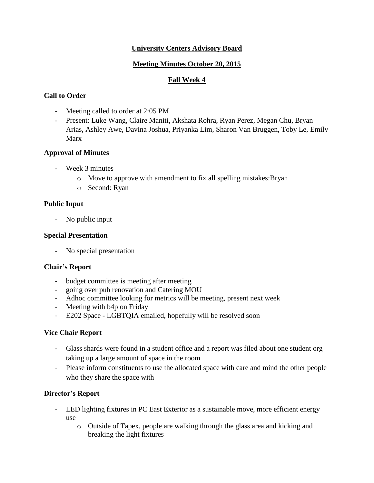# **University Centers Advisory Board**

## **Meeting Minutes October 20, 2015**

## **Fall Week 4**

# **Call to Order**

- Meeting called to order at 2:05 PM
- Present: Luke Wang, Claire Maniti, Akshata Rohra, Ryan Perez, Megan Chu, Bryan Arias, Ashley Awe, Davina Joshua, Priyanka Lim, Sharon Van Bruggen, Toby Le, Emily Marx

## **Approval of Minutes**

- Week 3 minutes
	- o Move to approve with amendment to fix all spelling mistakes:Bryan
	- o Second: Ryan

## **Public Input**

- No public input

### **Special Presentation**

- No special presentation

### **Chair's Report**

- budget committee is meeting after meeting
- going over pub renovation and Catering MOU
- Adhoc committee looking for metrics will be meeting, present next week
- Meeting with b4p on Friday
- E202 Space LGBTQIA emailed, hopefully will be resolved soon

### **Vice Chair Report**

- Glass shards were found in a student office and a report was filed about one student org taking up a large amount of space in the room
- Please inform constituents to use the allocated space with care and mind the other people who they share the space with

# **Director's Report**

- LED lighting fixtures in PC East Exterior as a sustainable move, more efficient energy use
	- o Outside of Tapex, people are walking through the glass area and kicking and breaking the light fixtures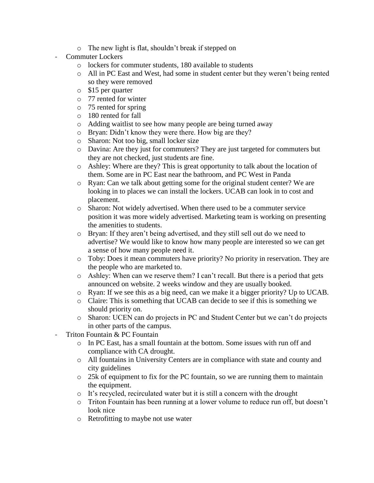- o The new light is flat, shouldn't break if stepped on
- Commuter Lockers
	- o lockers for commuter students, 180 available to students
	- o All in PC East and West, had some in student center but they weren't being rented so they were removed
	- o \$15 per quarter
	- o 77 rented for winter
	- o 75 rented for spring
	- o 180 rented for fall
	- o Adding waitlist to see how many people are being turned away
	- o Bryan: Didn't know they were there. How big are they?
	- o Sharon: Not too big, small locker size
	- o Davina: Are they just for commuters? They are just targeted for commuters but they are not checked, just students are fine.
	- o Ashley: Where are they? This is great opportunity to talk about the location of them. Some are in PC East near the bathroom, and PC West in Panda
	- o Ryan: Can we talk about getting some for the original student center? We are looking in to places we can install the lockers. UCAB can look in to cost and placement.
	- o Sharon: Not widely advertised. When there used to be a commuter service position it was more widely advertised. Marketing team is working on presenting the amenities to students.
	- o Bryan: If they aren't being advertised, and they still sell out do we need to advertise? We would like to know how many people are interested so we can get a sense of how many people need it.
	- o Toby: Does it mean commuters have priority? No priority in reservation. They are the people who are marketed to.
	- o Ashley: When can we reserve them? I can't recall. But there is a period that gets announced on website. 2 weeks window and they are usually booked.
	- o Ryan: If we see this as a big need, can we make it a bigger priority? Up to UCAB.
	- o Claire: This is something that UCAB can decide to see if this is something we should priority on.
	- o Sharon: UCEN can do projects in PC and Student Center but we can't do projects in other parts of the campus.
- Triton Fountain & PC Fountain
	- $\circ$  In PC East, has a small fountain at the bottom. Some issues with run off and compliance with CA drought.
	- o All fountains in University Centers are in compliance with state and county and city guidelines
	- $\circ$  25k of equipment to fix for the PC fountain, so we are running them to maintain the equipment.
	- o It's recycled, recirculated water but it is still a concern with the drought
	- o Triton Fountain has been running at a lower volume to reduce run off, but doesn't look nice
	- o Retrofitting to maybe not use water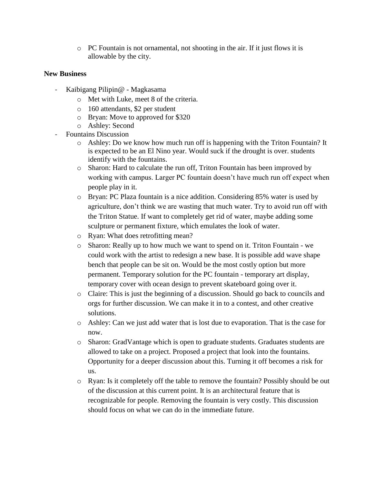o PC Fountain is not ornamental, not shooting in the air. If it just flows it is allowable by the city.

## **New Business**

- Kaibigang Pilipin@ Magkasama
	- o Met with Luke, meet 8 of the criteria.
	- o 160 attendants, \$2 per student
	- o Bryan: Move to approved for \$320
	- o Ashley: Second
	- Fountains Discussion
		- o Ashley: Do we know how much run off is happening with the Triton Fountain? It is expected to be an El Nino year. Would suck if the drought is over. students identify with the fountains.
		- o Sharon: Hard to calculate the run off, Triton Fountain has been improved by working with campus. Larger PC fountain doesn't have much run off expect when people play in it.
		- o Bryan: PC Plaza fountain is a nice addition. Considering 85% water is used by agriculture, don't think we are wasting that much water. Try to avoid run off with the Triton Statue. If want to completely get rid of water, maybe adding some sculpture or permanent fixture, which emulates the look of water.
		- o Ryan: What does retrofitting mean?
		- o Sharon: Really up to how much we want to spend on it. Triton Fountain we could work with the artist to redesign a new base. It is possible add wave shape bench that people can be sit on. Would be the most costly option but more permanent. Temporary solution for the PC fountain - temporary art display, temporary cover with ocean design to prevent skateboard going over it.
		- o Claire: This is just the beginning of a discussion. Should go back to councils and orgs for further discussion. We can make it in to a contest, and other creative solutions.
		- o Ashley: Can we just add water that is lost due to evaporation. That is the case for now.
		- o Sharon: GradVantage which is open to graduate students. Graduates students are allowed to take on a project. Proposed a project that look into the fountains. Opportunity for a deeper discussion about this. Turning it off becomes a risk for us.
		- o Ryan: Is it completely off the table to remove the fountain? Possibly should be out of the discussion at this current point. It is an architectural feature that is recognizable for people. Removing the fountain is very costly. This discussion should focus on what we can do in the immediate future.